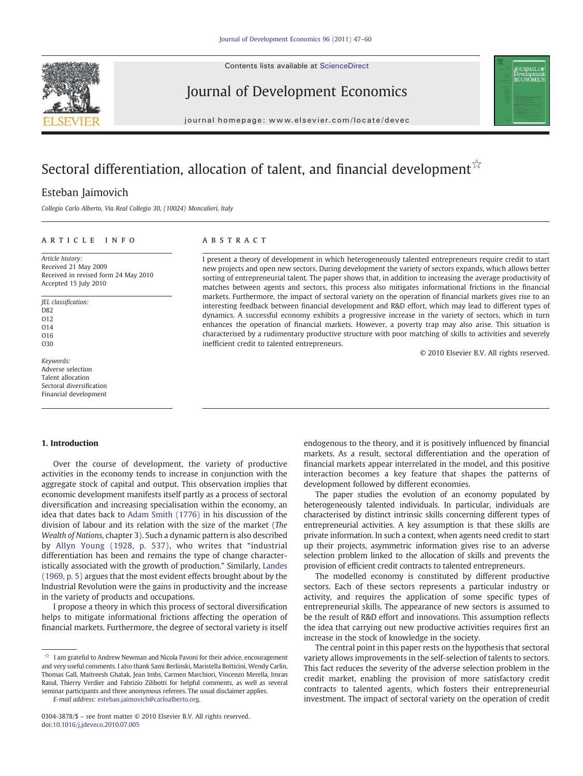Contents lists available at [ScienceDirect](http://www.sciencedirect.com/science/journal/03043878)



## Journal of Development Economics



journal homepage: www.elsevier.com/locate/devec

# Sectoral differentiation, allocation of talent, and financial development  $\hat{\mathbb{X}}$

### Esteban Jaimovich

Collegio Carlo Alberto, Via Real Collegio 30, (10024) Moncalieri, Italy

#### article info abstract

Article history: Received 21 May 2009 Received in revised form 24 May 2010 Accepted 15 July 2010

JEL classification: D82 O12 O14 O16 O30

Keywords: Adverse selection Talent allocation Sectoral diversification Financial development

#### 1. Introduction

Over the course of development, the variety of productive activities in the economy tends to increase in conjunction with the aggregate stock of capital and output. This observation implies that economic development manifests itself partly as a process of sectoral diversification and increasing specialisation within the economy, an idea that dates back to [Adam Smith \(1776\)](#page--1-0) in his discussion of the division of labour and its relation with the size of the market (The Wealth of Nations, chapter 3). Such a dynamic pattern is also described by [Allyn Young \(1928, p. 537\)](#page--1-0), who writes that "industrial differentiation has been and remains the type of change characteristically associated with the growth of production." Similarly, [Landes](#page--1-0) [\(1969, p. 5\)](#page--1-0) argues that the most evident effects brought about by the Industrial Revolution were the gains in productivity and the increase in the variety of products and occupations.

I propose a theory in which this process of sectoral diversification helps to mitigate informational frictions affecting the operation of financial markets. Furthermore, the degree of sectoral variety is itself

E-mail address: [esteban.jaimovich@carloalberto.org](mailto:esteban.jaimovich@carloalberto.org).

I present a theory of development in which heterogeneously talented entrepreneurs require credit to start new projects and open new sectors. During development the variety of sectors expands, which allows better sorting of entrepreneurial talent. The paper shows that, in addition to increasing the average productivity of matches between agents and sectors, this process also mitigates informational frictions in the financial markets. Furthermore, the impact of sectoral variety on the operation of financial markets gives rise to an interesting feedback between financial development and R&D effort, which may lead to different types of dynamics. A successful economy exhibits a progressive increase in the variety of sectors, which in turn enhances the operation of financial markets. However, a poverty trap may also arise. This situation is characterised by a rudimentary productive structure with poor matching of skills to activities and severely inefficient credit to talented entrepreneurs.

© 2010 Elsevier B.V. All rights reserved.

endogenous to the theory, and it is positively influenced by financial markets. As a result, sectoral differentiation and the operation of financial markets appear interrelated in the model, and this positive interaction becomes a key feature that shapes the patterns of development followed by different economies.

The paper studies the evolution of an economy populated by heterogeneously talented individuals. In particular, individuals are characterised by distinct intrinsic skills concerning different types of entrepreneurial activities. A key assumption is that these skills are private information. In such a context, when agents need credit to start up their projects, asymmetric information gives rise to an adverse selection problem linked to the allocation of skills and prevents the provision of efficient credit contracts to talented entrepreneurs.

The modelled economy is constituted by different productive sectors. Each of these sectors represents a particular industry or activity, and requires the application of some specific types of entrepreneurial skills. The appearance of new sectors is assumed to be the result of R&D effort and innovations. This assumption reflects the idea that carrying out new productive activities requires first an increase in the stock of knowledge in the society.

The central point in this paper rests on the hypothesis that sectoral variety allows improvements in the self-selection of talents to sectors. This fact reduces the severity of the adverse selection problem in the credit market, enabling the provision of more satisfactory credit contracts to talented agents, which fosters their entrepreneurial investment. The impact of sectoral variety on the operation of credit

 $\mathring{\mathbb{X}}$  I am grateful to Andrew Newman and Nicola Pavoni for their advice, encouragement and very useful comments. I also thank Sami Berlinski, Maristella Botticini, Wendy Carlin, Thomas Gall, Maitreesh Ghatak, Jean Imbs, Carmen Marchiori, Vincenzo Merella, Imran Rasul, Thierry Verdier and Fabrizio Zilibotti for helpful comments, as well as several seminar participants and three anonymous referees. The usual disclaimer applies.

<sup>0304-3878/\$</sup> – see front matter © 2010 Elsevier B.V. All rights reserved. doi:[10.1016/j.jdeveco.2010.07.005](http://dx.doi.org/10.1016/j.jdeveco.2010.07.005)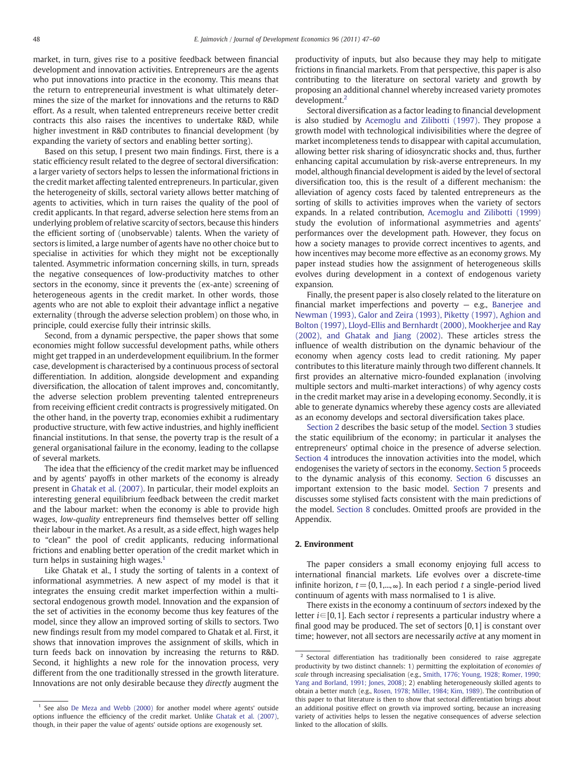market, in turn, gives rise to a positive feedback between financial development and innovation activities. Entrepreneurs are the agents who put innovations into practice in the economy. This means that the return to entrepreneurial investment is what ultimately determines the size of the market for innovations and the returns to R&D effort. As a result, when talented entrepreneurs receive better credit contracts this also raises the incentives to undertake R&D, while higher investment in R&D contributes to financial development (by expanding the variety of sectors and enabling better sorting).

Based on this setup, I present two main findings. First, there is a static efficiency result related to the degree of sectoral diversification: a larger variety of sectors helps to lessen the informational frictions in the credit market affecting talented entrepreneurs. In particular, given the heterogeneity of skills, sectoral variety allows better matching of agents to activities, which in turn raises the quality of the pool of credit applicants. In that regard, adverse selection here stems from an underlying problem of relative scarcity of sectors, because this hinders the efficient sorting of (unobservable) talents. When the variety of sectors is limited, a large number of agents have no other choice but to specialise in activities for which they might not be exceptionally talented. Asymmetric information concerning skills, in turn, spreads the negative consequences of low-productivity matches to other sectors in the economy, since it prevents the (ex-ante) screening of heterogeneous agents in the credit market. In other words, those agents who are not able to exploit their advantage inflict a negative externality (through the adverse selection problem) on those who, in principle, could exercise fully their intrinsic skills.

Second, from a dynamic perspective, the paper shows that some economies might follow successful development paths, while others might get trapped in an underdevelopment equilibrium. In the former case, development is characterised by a continuous process of sectoral differentiation. In addition, alongside development and expanding diversification, the allocation of talent improves and, concomitantly, the adverse selection problem preventing talented entrepreneurs from receiving efficient credit contracts is progressively mitigated. On the other hand, in the poverty trap, economies exhibit a rudimentary productive structure, with few active industries, and highly inefficient financial institutions. In that sense, the poverty trap is the result of a general organisational failure in the economy, leading to the collapse of several markets.

The idea that the efficiency of the credit market may be influenced and by agents' payoffs in other markets of the economy is already present in [Ghatak et al. \(2007\)](#page--1-0). In particular, their model exploits an interesting general equilibrium feedback between the credit market and the labour market: when the economy is able to provide high wages, low-quality entrepreneurs find themselves better off selling their labour in the market. As a result, as a side effect, high wages help to "clean" the pool of credit applicants, reducing informational frictions and enabling better operation of the credit market which in turn helps in sustaining high wages.<sup>1</sup>

Like Ghatak et al., I study the sorting of talents in a context of informational asymmetries. A new aspect of my model is that it integrates the ensuing credit market imperfection within a multisectoral endogenous growth model. Innovation and the expansion of the set of activities in the economy become thus key features of the model, since they allow an improved sorting of skills to sectors. Two new findings result from my model compared to Ghatak et al. First, it shows that innovation improves the assignment of skills, which in turn feeds back on innovation by increasing the returns to R&D. Second, it highlights a new role for the innovation process, very different from the one traditionally stressed in the growth literature. Innovations are not only desirable because they directly augment the

productivity of inputs, but also because they may help to mitigate frictions in financial markets. From that perspective, this paper is also contributing to the literature on sectoral variety and growth by proposing an additional channel whereby increased variety promotes development.2

Sectoral diversification as a factor leading to financial development is also studied by [Acemoglu and Zilibotti \(1997\)](#page--1-0). They propose a growth model with technological indivisibilities where the degree of market incompleteness tends to disappear with capital accumulation, allowing better risk sharing of idiosyncratic shocks and, thus, further enhancing capital accumulation by risk-averse entrepreneurs. In my model, although financial development is aided by the level of sectoral diversification too, this is the result of a different mechanism: the alleviation of agency costs faced by talented entrepreneurs as the sorting of skills to activities improves when the variety of sectors expands. In a related contribution, [Acemoglu and Zilibotti \(1999\)](#page--1-0) study the evolution of informational asymmetries and agents' performances over the development path. However, they focus on how a society manages to provide correct incentives to agents, and how incentives may become more effective as an economy grows. My paper instead studies how the assignment of heterogeneous skills evolves during development in a context of endogenous variety expansion.

Finally, the present paper is also closely related to the literature on financial market imperfections and poverty — e.g., [Banerjee and](#page--1-0) [Newman \(1993\), Galor and Zeira \(1993\), Piketty \(1997\), Aghion and](#page--1-0) [Bolton \(1997\), Lloyd-Ellis and Bernhardt \(2000\), Mookherjee and Ray](#page--1-0) [\(2002\), and Ghatak and Jiang \(2002\).](#page--1-0) These articles stress the influence of wealth distribution on the dynamic behaviour of the economy when agency costs lead to credit rationing. My paper contributes to this literature mainly through two different channels. It first provides an alternative micro-founded explanation (involving multiple sectors and multi-market interactions) of why agency costs in the credit market may arise in a developing economy. Secondly, it is able to generate dynamics whereby these agency costs are alleviated as an economy develops and sectoral diversification takes place.

Section 2 describes the basic setup of the model. [Section 3](#page--1-0) studies the static equilibrium of the economy; in particular it analyses the entrepreneurs' optimal choice in the presence of adverse selection. [Section 4](#page--1-0) introduces the innovation activities into the model, which endogenises the variety of sectors in the economy. [Section 5](#page--1-0) proceeds to the dynamic analysis of this economy. [Section 6](#page--1-0) discusses an important extension to the basic model. [Section 7](#page--1-0) presents and discusses some stylised facts consistent with the main predictions of the model. [Section 8](#page--1-0) concludes. Omitted proofs are provided in the Appendix.

#### 2. Environment

The paper considers a small economy enjoying full access to international financial markets. Life evolves over a discrete-time infinite horizon,  $t = \{0, 1, \ldots, \infty\}$ . In each period t a single-period lived continuum of agents with mass normalised to 1 is alive.

There exists in the economy a continuum of sectors indexed by the letter  $i \in [0, 1]$ . Each sector *i* represents a particular industry where a final good may be produced. The set of sectors [0, 1] is constant over time; however, not all sectors are necessarily active at any moment in

 $1$  See also [De Meza and Webb \(2000\)](#page--1-0) for another model where agents' outside options influence the efficiency of the credit market. Unlike [Ghatak et al. \(2007\)](#page--1-0), though, in their paper the value of agents' outside options are exogenously set.

<sup>&</sup>lt;sup>2</sup> Sectoral differentiation has traditionally been considered to raise aggregate productivity by two distinct channels: 1) permitting the exploitation of economies of scale through increasing specialisation (e.g., [Smith, 1776; Young, 1928; Romer, 1990;](#page--1-0) [Yang and Borland, 1991; Jones, 2008\)](#page--1-0); 2) enabling heterogeneously skilled agents to obtain a better match (e.g., [Rosen, 1978; Miller, 1984; Kim, 1989](#page--1-0)). The contribution of this paper to that literature is then to show that sectoral differentiation brings about an additional positive effect on growth via improved sorting, because an increasing variety of activities helps to lessen the negative consequences of adverse selection linked to the allocation of skills.